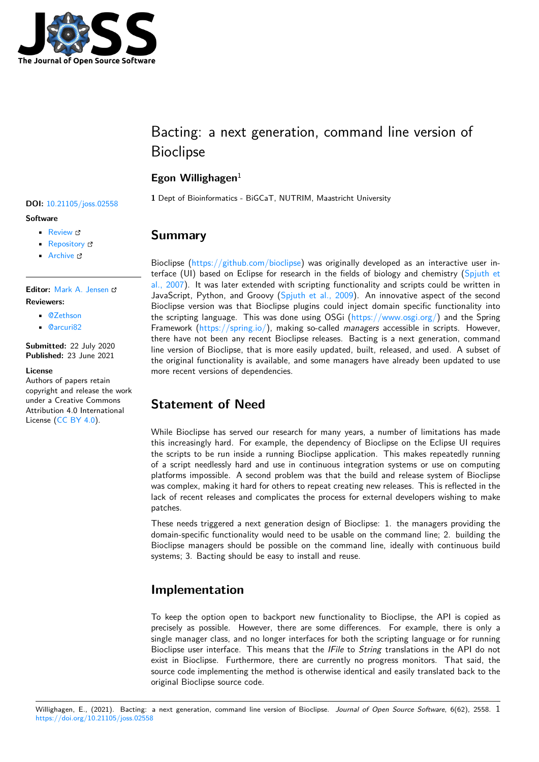

# Bacting: a next generation, command line version of Bioclipse

### **Egon Willighagen**<sup>1</sup>

**<sup>1</sup>** Dept of Bioinformatics - BiGCaT, NUTRIM, Maastricht University **DOI:** 10.21105/joss.02558

## **Summary**

Bioclipse (https://github.com/bioclipse) was originally developed as an interactive user interface (UI) based on Eclipse for research in the fields of biology and chemistry ( $Spinth$  et al., 2007). It was later extended with scripting functionality and scripts could be written in JavaScript, Python, and Groovy (Spjuth et al., 2009). An innovative aspect of the second Bioclipse [version was that Bioclipse plu](https://github.com/bioclipse)gins could inject domain specific functionality into the scripting language. This was done using OSGi (https://www.osgi.org/) and t[he Spring](#page-4-0) [Framewo](#page-4-0)rk (https://spring.io/), making so-called *managers* accessible in scripts. However, there have not been any recent [Bioclipse releases. B](#page-4-1)acting is a next generation, command line version of Bioclipse, that is more easily updated, built, released, and used. A subset of the original functionality is available, and some man[agers have already been](https://www.osgi.org/) updated to use more recent [versions of depend](https://spring.io/)encies.

## **Statement of Need**

While Bioclipse has served our research for many years, a number of limitations has made this increasingly hard. For example, the dependency of Bioclipse on the Eclipse UI requires the scripts to be run inside a running Bioclipse application. This makes repeatedly running of a script needlessly hard and use in continuous integration systems or use on computing platforms impossible. A second problem was that the build and release system of Bioclipse was complex, making it hard for others to repeat creating new releases. This is reflected in the lack of recent releases and complicates the process for external developers wishing to make patches.

These needs triggered a next generation design of Bioclipse: 1. the managers providing the domain-specific functionality would need to be usable on the command line; 2. building the Bioclipse managers should be possible on the command line, ideally with continuous build systems; 3. Bacting should be easy to install and reuse.

## **Implementation**

To keep the option open to backport new functionality to Bioclipse, the API is copied as precisely as possible. However, there are some differences. For example, there is only a single manager class, and no longer interfaces for both the scripting language or for running Bioclipse user interface. This means that the *IFile* to *String* translations in the API do not exist in Bioclipse. Furthermore, there are currently no progress monitors. That said, the source code implementing the method is otherwise identical and easily translated back to the original Bioclipse source code.

#### • [Repository](https://doi.org/10.21105/joss.02558) & • Archive

**Editor:** [Mark A.](https://github.com/egonw/bacting) Jensen **Revie[wers:](https://doi.org/10.5281/zenodo.4942022)**

**Software**

• @Zethson

• Review &

• @[arcuri82](https://www.linkedin.com/in/fortinbras/)

**Submitted:** 22 July 2020 **Publi[shed:](https://github.com/Zethson)** 23 June 2021

#### **Licen[se](https://github.com/arcuri82)**

Authors of papers retain copyright and release the work under a Creative Commons Attribution 4.0 International License (CC BY 4.0).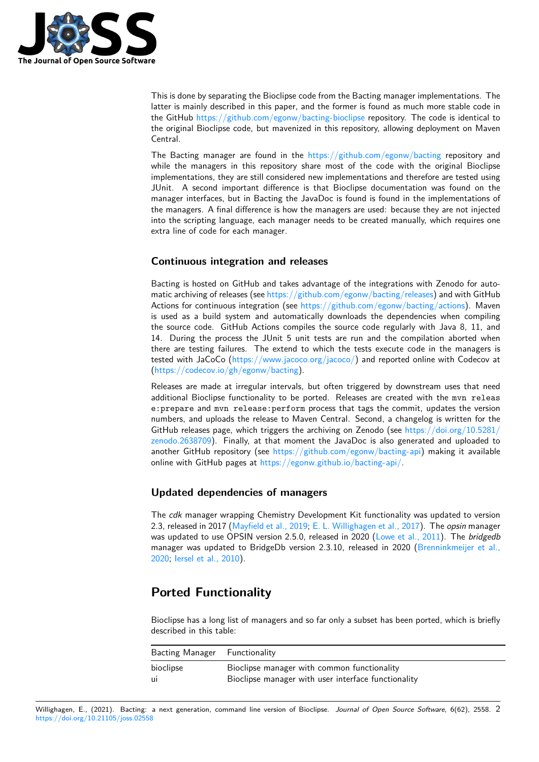

This is done by separating the Bioclipse code from the Bacting manager implementations. The latter is mainly described in this paper, and the former is found as much more stable code in the GitHub https://github.com/egonw/bacting-bioclipse repository. The code is identical to the original Bioclipse code, but mavenized in this repository, allowing deployment on Maven Central.

The Bacting manager are found in the https://github.com/egonw/bacting repository and while the [managers in this repository share most of th](https://github.com/egonw/bacting-bioclipse)e code with the original Bioclipse implementations, they are still considered new implementations and therefore are tested using JUnit. A second important difference is that Bioclipse documentation was found on the manager interfaces, but in Bacting the J[avaDoc is found is found in the imp](https://github.com/egonw/bacting)lementations of the managers. A final difference is how the managers are used: because they are not injected into the scripting language, each manager needs to be created manually, which requires one extra line of code for each manager.

#### **Continuous integration and releases**

Bacting is hosted on GitHub and takes advantage of the integrations with Zenodo for automatic archiving of releases (see https://github.com/egonw/bacting/releases) and with GitHub Actions for continuous integration (see https://github.com/egonw/bacting/actions). Maven is used as a build system and automatically downloads the dependencies when compiling the source code. GitHub Actions compiles the source code regularly with Java 8, 11, and 14. During the process the J[Unit 5 unit tests are run and the compilati](https://github.com/egonw/bacting/releases)on aborted when there are testing failures. The extend [to which the tests execute code in the ma](https://github.com/egonw/bacting/actions)nagers is tested with JaCoCo (https://www.jacoco.org/jacoco/) and reported online with Codecov at (https://codecov.io/gh/egonw/bacting).

Releases are made at irregular intervals, but often triggered by downstream uses that need additional Bioclipse f[unctionality to be ported. Relea](https://www.jacoco.org/jacoco/)ses are created with the mvn releas e:prepare and mvn release:perform process that tags the commit, updates the version [numbers, and uploads the release to M](https://codecov.io/gh/egonw/bacting)aven Central. Second, a changelog is written for the GitHub releases page, which triggers the archiving on Zenodo (see https://doi.org/10.5281/ zenodo.2638709). Finally, at that moment the JavaDoc is also generated and uploaded to another GitHub repository (see https://github.com/egonw/bacting-api) making it available online with GitHub pages at https://egonw.github.io/bacting-api/.

### **[Updated dep](https://doi.org/10.5281/zenodo.2638709)endencies o[f managers](https://github.com/egonw/bacting-api)**

The *cdk* manager wrapping [Chemistry Development Kit functionali](https://egonw.github.io/bacting-api/)ty was updated to version 2.3, released in 2017 (Mayfield et al., 2019; E. L. Willighagen et al., 2017). The *opsin* manager was updated to use OPSIN version 2.5.0, released in 2020 (Lowe et al., 2011). The *bridgedb* manager was updated to BridgeDb version 2.3.10, released in 2020 (Brenninkmeijer et al., 2020; Iersel et al., 2010).

## **[Por](#page-3-0)[ted Function](#page-3-1)ality**

Bioclipse has a long list of managers and so far only a subset has been ported, which is briefly described in this table:

| Bacting Manager Functionality |                                                     |
|-------------------------------|-----------------------------------------------------|
| bioclipse                     | Bioclipse manager with common functionality         |
| -ui                           | Bioclipse manager with user interface functionality |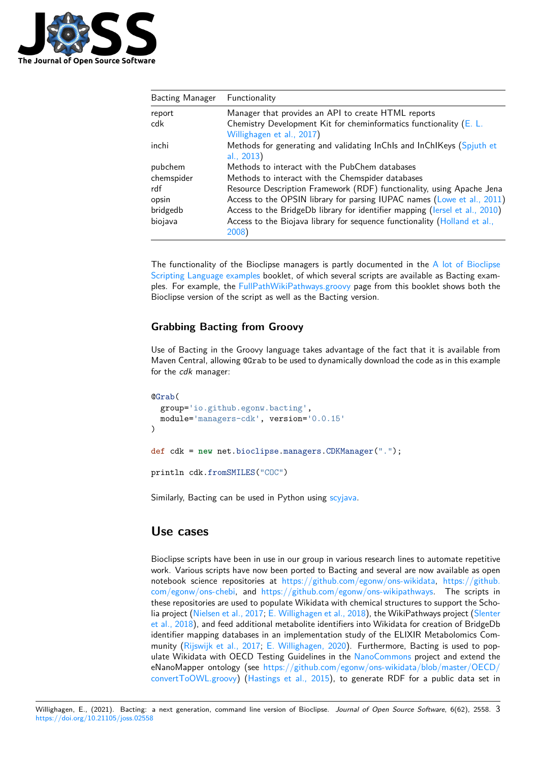

| <b>Bacting Manager</b> | Functionality                                                                                       |
|------------------------|-----------------------------------------------------------------------------------------------------|
| report                 | Manager that provides an API to create HTML reports                                                 |
| cdk                    | Chemistry Development Kit for cheminformatics functionality ( $E$ . L.<br>Willighagen et al., 2017) |
| inchi                  | Methods for generating and validating InChIs and InChIKeys (Spjuth et<br>al., 2013)                 |
| pubchem                | Methods to interact with the PubChem databases                                                      |
| chemspider             | Methods to interact with the Chemspider databases                                                   |
| rdf                    | Resource Description Framework (RDF) functionality, using Apache Jena                               |
| opsin                  | Access to the OPSIN library for parsing IUPAC names (Lowe et al., 2011)                             |
| bridgedb               | Access to the BridgeDb library for identifier mapping (lersel et al., 2010)                         |
| biojava                | Access to the Biojava library for sequence functionality (Holland et al.,<br>2008)                  |

The functionality of the Bioclipse managers is partly documented in the [A](#page-3-1) [lot of Bioclips](#page-3-2)[e](#page-3-1) Scripting Language [exam](#page-3-2)ples booklet, of which several scripts are available as Bacting examples. For example, the FullPathWikiPathways.groovy page from this booklet shows both the Bioclipse version of the script as well as the Bacting version.

### **[Grabbing Bacting](https://bioclipse.github.io/bioclipse.scripting/) [from Groovy](https://bioclipse.github.io/bioclipse.scripting/code/FullPathWikiPathways.code.html)**

Use of Bacting in the Groovy language takes advantage of the fact that it is available from Maven Central, allowing @Grab to be used to dynamically download the code as in this example for the *cdk* manager:

```
@Grab(
  group='io.github.egonw.bacting',
 module='managers-cdk', version='0.0.15'
)
def cdk = new net.bioclipse.managers.CDKManager(".");
println cdk.fromSMILES("COC")
```
Similarly, Bacting can be used in Python using scyjava.

### **Use cases**

Bioclipse scripts have been in use in our group in various research lines to automate repetitive work. Various scripts have now been ported to Bacting and several are now available as open notebook science repositories at https://github.com/egonw/ons-wikidata, https://github. com/egonw/ons-chebi, and https://github.com/egonw/ons-wikipathways. The scripts in these repositories are used to populate Wikidata with chemical structures to support the Scholia project (Nielsen et al., 2017; E. Willighagen et al., 2018), the WikiPathways project (Slenter et al., 2018), and feed additional [metabolite identifiers into Wikidata for crea](https://github.com/egonw/ons-wikidata)ti[on of BridgeDb](https://github.com/egonw/ons-chebi) [identifier mapping data](https://github.com/egonw/ons-chebi)bases [in an implementation study of the ELIXIR Me](https://github.com/egonw/ons-wikipathways)tabolomics Community (Rijswijk et al., 2017; E. Willighagen, 2020). Furthermore, Bacting is used to populate Wiki[data with OECD Te](#page-3-3)[sting Guidelines in the](#page-4-4) NanoCommons project and ext[end the](#page-4-5) [eNanoMapp](#page-4-5)er ontology (see https://github.com/egonw/ons-wikidata/blob/master/OECD/ convertToOWL.groovy) (Hastings et al., 2015), to generate RDF for a public data set in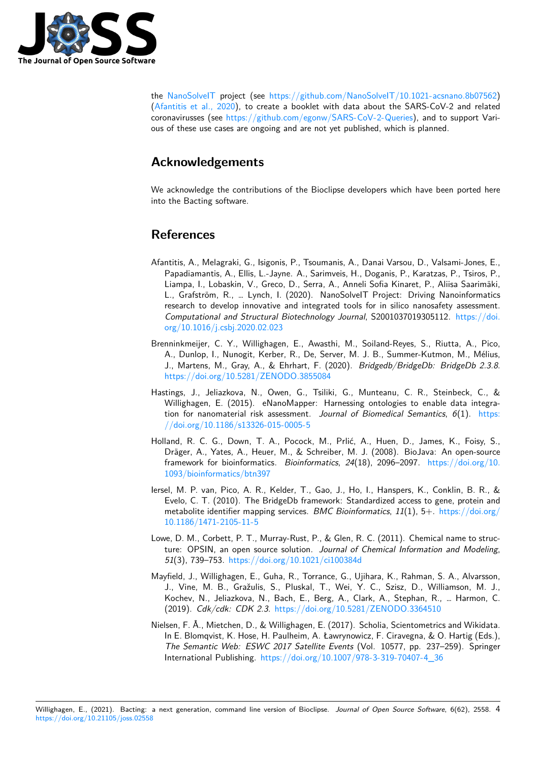

the NanoSolveIT project (see https://github.com/NanoSolveIT/10.1021-acsnano.8b07562) (Afantitis et al., 2020), to create a booklet with data about the SARS-CoV-2 and related coronavirusses (see https://github.com/egonw/SARS-CoV-2-Queries), and to support Various of these use cases are ongoing and are not yet published, which is planned.

## **[Acknowledg](#page-3-4)[ements](https://github.com/egonw/SARS-CoV-2-Queries)**

We acknowledge the contributions of the Bioclipse developers which have been ported here into the Bacting software.

## **References**

- <span id="page-3-4"></span>Afantitis, A., Melagraki, G., Isigonis, P., Tsoumanis, A., Danai Varsou, D., Valsami-Jones, E., Papadiamantis, A., Ellis, L.-Jayne. A., Sarimveis, H., Doganis, P., Karatzas, P., Tsiros, P., Liampa, I., Lobaskin, V., Greco, D., Serra, A., Anneli Sofia Kinaret, P., Aliisa Saarimäki, L., Grafström, R., … Lynch, I. (2020). NanoSolveIT Project: Driving Nanoinformatics research to develop innovative and integrated tools for in silico nanosafety assessment. *Computational and Structural Biotechnology Journal*, S2001037019305112. https://doi. org/10.1016/j.csbj.2020.02.023
- Brenninkmeijer, C. Y., Willighagen, E., Awasthi, M., Soiland-Reyes, S., Riutta, A., Pico, A., Dunlop, I., Nunogit, Kerber, R., De, Server, M. J. B., Summer-Kutmon, M., Mélius, J., Martens, M., Gray, A., & Ehrhart, F. (2020). *Bridgedb/BridgeDb: Bri[dgeDb 2.3.8](https://doi.org/10.1016/j.csbj.2020.02.023)*. [https://doi.org/10.5281/ZENO](https://doi.org/10.1016/j.csbj.2020.02.023)DO.3855084
- <span id="page-3-0"></span>Hastings, J., Jeliazkova, N., Owen, G., Tsiliki, G., Munteanu, C. R., Steinbeck, C., & Willighagen, E. (2015). eNanoMapper: Harnessing ontologies to enable data integration for nanomaterial risk assessment. *Journal of Biomedical Semantics*, *6*(1). https: [//doi.org/10.1186/s13326-015-0005-5](https://doi.org/10.5281/ZENODO.3855084)
- Holland, R. C. G., Down, T. A., Pocock, M., Prlić, A., Huen, D., James, K., Foisy, S., Dräger, A., Yates, A., Heuer, M., & Schreiber, M. J. (2008). BioJava: An open-source framework for bioinformatics. *Bioinformatics*, *24*(18), 2096–2097. https://doi.o[rg/10.](https://doi.org/10.1186/s13326-015-0005-5) [1093/bioinformatics/btn397](https://doi.org/10.1186/s13326-015-0005-5)
- <span id="page-3-2"></span>Iersel, M. P. van, Pico, A. R., Kelder, T., Gao, J., Ho, I., Hanspers, K., Conklin, B. R., & Evelo, C. T. (2010). The BridgeDb framework: Standardized access to gene, protein and metabolite identifier mapping services. *BMC Bioinformatics*, *11*(1), 5+. [https://doi.org/](https://doi.org/10.1093/bioinformatics/btn397) [10.1186/1471-2105-11-5](https://doi.org/10.1093/bioinformatics/btn397)
- <span id="page-3-1"></span>Lowe, D. M., Corbett, P. T., Murray-Rust, P., & Glen, R. C. (2011). Chemical name to structure: OPSIN, an open source solution. *Journal of Chemical Informatio[n and Modeling](https://doi.org/10.1186/1471-2105-11-5)*, *51*[\(3\), 739–753.](https://doi.org/10.1186/1471-2105-11-5) https://doi.org/10.1021/ci100384d
- Mayfield, J., Willighagen, E., Guha, R., Torrance, G., Ujihara, K., Rahman, S. A., Alvarsson, J., Vine, M. B., Gražulis, S., Pluskal, T., Wei, Y. C., Szisz, D., Williamson, M. J., Kochev, N., Jeli[azkova, N., Bach, E., Berg, A., Cla](https://doi.org/10.1021/ci100384d)rk, A., Stephan, R., … Harmon, C. (2019). *Cdk/cdk: CDK 2.3*. https://doi.org/10.5281/ZENODO.3364510
- <span id="page-3-3"></span>Nielsen, F. Å., Mietchen, D., & Willighagen, E. (2017). Scholia, Scientometrics and Wikidata. In E. Blomqvist, K. Hose, H. Paulheim, A. Ławrynowicz, F. Ciravegna, & O. Hartig (Eds.), *The Semantic Web: ESWC 2017 Satellite Events* (Vol. 10577, pp. 237–259). Springer International Publishing. htt[ps://doi.org/10.1007/978-3-319-70407-4\\_36](https://doi.org/10.5281/ZENODO.3364510)